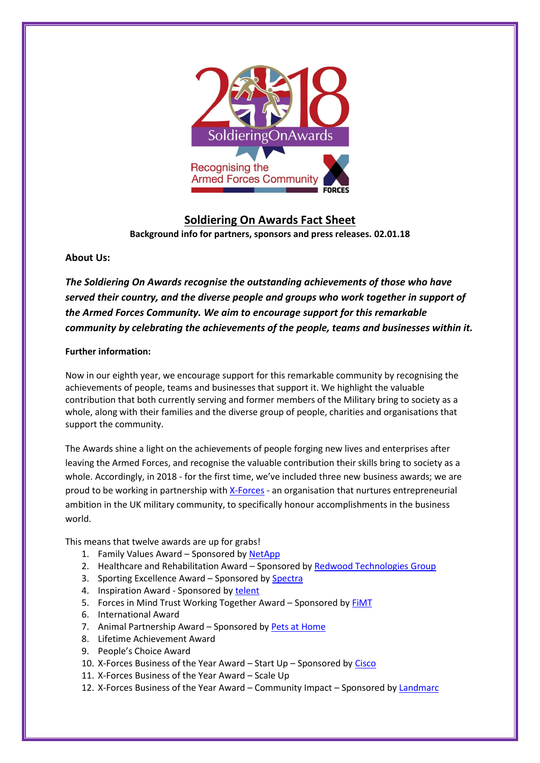

# **Soldiering On Awards Fact Sheet Background info for partners, sponsors and press releases. 02.01.18**

## **About Us:**

*The Soldiering On Awards recognise the outstanding achievements of those who have served their country, and the diverse people and groups who work together in support of the Armed Forces Community. We aim to encourage support for this remarkable community by celebrating the achievements of the people, teams and businesses within it.*

### **Further information:**

Now in our eighth year, we encourage support for this remarkable community by recognising the achievements of people, teams and businesses that support it. We highlight the valuable contribution that both currently serving and former members of the Military bring to society as a whole, along with their families and the diverse group of people, charities and organisations that support the community.

The Awards shine a light on the achievements of people forging new lives and enterprises after leaving the Armed Forces, and recognise the valuable contribution their skills bring to society as a whole. Accordingly, in 2018 - for the first time, we've included three new business awards; we are proud to be working in partnership with [X-Forces](https://www.x-forces.com/) - an organisation that nurtures entrepreneurial ambition in the UK military community, to specifically honour accomplishments in the business world.

This means that twelve awards are up for grabs!

- 1. Family Values Award Sponsored b[y NetApp](http://www.netapp.co.uk/index.aspx)
- 2. Healthcare and Rehabilitation Award Sponsored b[y Redwood Technologies Group](http://www.redwoodtech.com/)
- 3. Sporting Excellence Award Sponsored by [Spectra](https://spectra-group.co.uk/)
- 4. Inspiration Award Sponsored by [telent](https://telent.com/)
- 5. Forces in Mind Trust Working Together Award Sponsored by [FiMT](http://www.fim-trust.org/)
- 6. International Award
- 7. Animal Partnership Award Sponsored by [Pets at Home](http://www.petsathome.com/)
- 8. Lifetime Achievement Award
- 9. People's Choice Award
- 10. X-Forces Business of the Year Award Start Up Sponsored by [Cisco](https://www.cisco.com/)
- 11. X-Forces Business of the Year Award Scale Up
- 12. X-Forces Business of the Year Award Community Impact Sponsored by [Landmarc](http://www.landmarcsolutions.com/)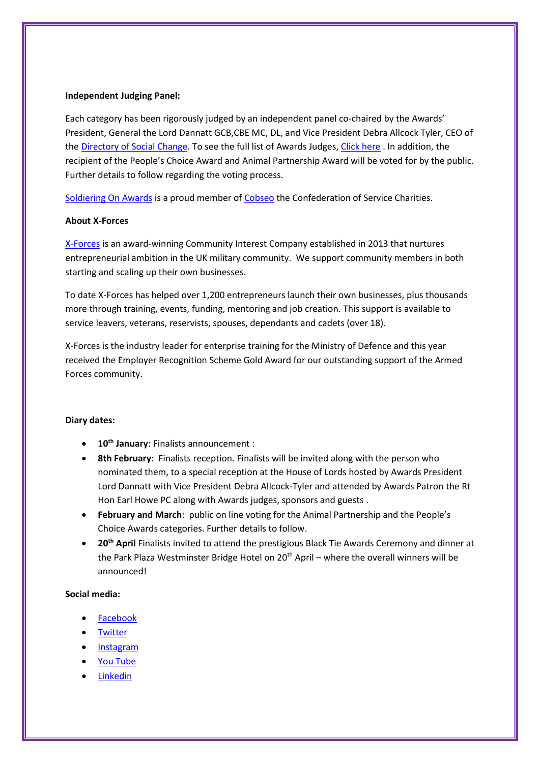#### **Independent Judging Panel:**

Each category has been rigorously judged by an independent panel co-chaired by the Awards' President, General the Lord Dannatt GCB,CBE MC, DL, and Vice President Debra Allcock Tyler, CEO of th[e Directory of Social Change.](https://www.dsc.org.uk/) To see the full list of Awards Judges, [Click here](http://www.soldieringon.org/the-awards-2018-judges/) . In addition, the recipient of the People's Choice Award and Animal Partnership Award will be voted for by the public. Further details to follow regarding the voting process.

[Soldiering On Awards](http://www.soldieringon.org/) is a proud member of [Cobseo](https://www.cobseo.org.uk/) the Confederation of Service Charities.

#### **About X-Forces**

[X-Forces](https://www.x-forces.com/) is an award-winning Community Interest Company established in 2013 that nurtures entrepreneurial ambition in the UK military community. We support community members in both starting and scaling up their own businesses.

To date X-Forces has helped over 1,200 entrepreneurs launch their own businesses, plus thousands more through training, events, funding, mentoring and job creation. This support is available to service leavers, veterans, reservists, spouses, dependants and cadets (over 18).

X-Forces is the industry leader for enterprise training for the Ministry of Defence and this year received the Employer Recognition Scheme Gold Award for our outstanding support of the Armed Forces community.

#### **Diary dates:**

- **10th January**: Finalists announcement :
- **8th February**: Finalists reception. Finalists will be invited along with the person who nominated them, to a special reception at the House of Lords hosted by Awards President Lord Dannatt with Vice President Debra Allcock-Tyler and attended by Awards Patron the Rt Hon Earl Howe PC along with Awards judges, sponsors and guests .
- **February and March**: public on line voting for the Animal Partnership and the People's Choice Awards categories. Further details to follow.
- **20th April** Finalists invited to attend the prestigious Black Tie Awards Ceremony and dinner at the Park Plaza Westminster Bridge Hotel on  $20<sup>th</sup>$  April – where the overall winners will be announced!

#### **Social media:**

- [Facebook](https://www.facebook.com/SoldieringOnAwards)
- **[Twitter](https://mobile.twitter.com/SoldierOnAwards)**
- [Instagram](https://www.instagram.com/SoldieringonAwards/)
- [You Tube](https://www.youtube.com/user/SoldieringOnTLT)
- [Linkedin](https://www.linkedin.com/company/SoldieringOnAwards)